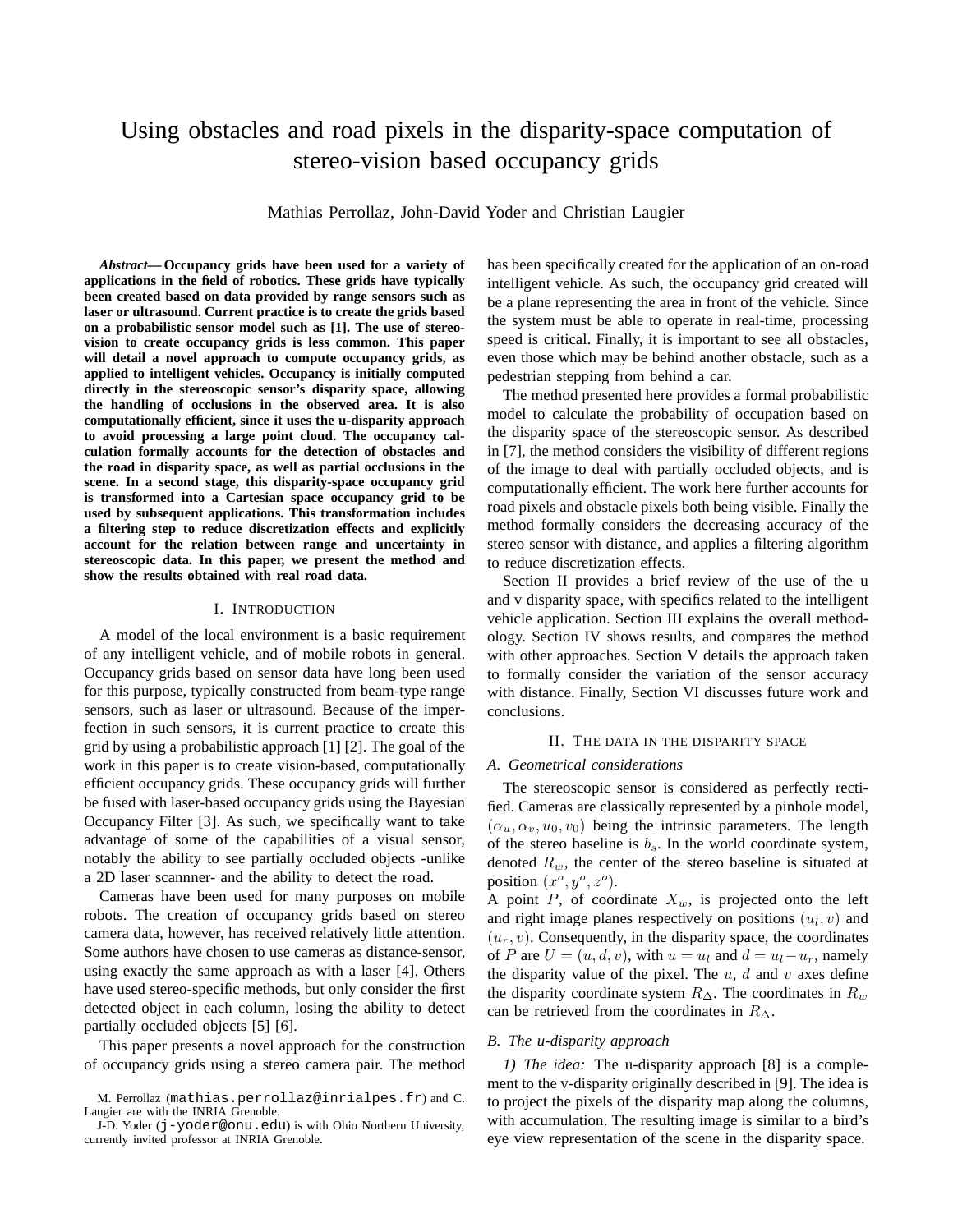# Using obstacles and road pixels in the disparity-space computation of stereo-vision based occupancy grids

# Mathias Perrollaz, John-David Yoder and Christian Laugier

*Abstract***— Occupancy grids have been used for a variety of applications in the field of robotics. These grids have typically been created based on data provided by range sensors such as laser or ultrasound. Current practice is to create the grids based on a probabilistic sensor model such as [1]. The use of stereovision to create occupancy grids is less common. This paper will detail a novel approach to compute occupancy grids, as applied to intelligent vehicles. Occupancy is initially computed directly in the stereoscopic sensor's disparity space, allowing the handling of occlusions in the observed area. It is also computationally efficient, since it uses the u-disparity approach to avoid processing a large point cloud. The occupancy calculation formally accounts for the detection of obstacles and the road in disparity space, as well as partial occlusions in the scene. In a second stage, this disparity-space occupancy grid is transformed into a Cartesian space occupancy grid to be used by subsequent applications. This transformation includes a filtering step to reduce discretization effects and explicitly account for the relation between range and uncertainty in stereoscopic data. In this paper, we present the method and show the results obtained with real road data.**

## I. INTRODUCTION

A model of the local environment is a basic requirement of any intelligent vehicle, and of mobile robots in general. Occupancy grids based on sensor data have long been used for this purpose, typically constructed from beam-type range sensors, such as laser or ultrasound. Because of the imperfection in such sensors, it is current practice to create this grid by using a probabilistic approach [1] [2]. The goal of the work in this paper is to create vision-based, computationally efficient occupancy grids. These occupancy grids will further be fused with laser-based occupancy grids using the Bayesian Occupancy Filter [3]. As such, we specifically want to take advantage of some of the capabilities of a visual sensor, notably the ability to see partially occluded objects -unlike a 2D laser scannner- and the ability to detect the road.

Cameras have been used for many purposes on mobile robots. The creation of occupancy grids based on stereo camera data, however, has received relatively little attention. Some authors have chosen to use cameras as distance-sensor, using exactly the same approach as with a laser [4]. Others have used stereo-specific methods, but only consider the first detected object in each column, losing the ability to detect partially occluded objects [5] [6].

This paper presents a novel approach for the construction of occupancy grids using a stereo camera pair. The method has been specifically created for the application of an on-road intelligent vehicle. As such, the occupancy grid created will be a plane representing the area in front of the vehicle. Since the system must be able to operate in real-time, processing speed is critical. Finally, it is important to see all obstacles, even those which may be behind another obstacle, such as a pedestrian stepping from behind a car.

The method presented here provides a formal probabilistic model to calculate the probability of occupation based on the disparity space of the stereoscopic sensor. As described in [7], the method considers the visibility of different regions of the image to deal with partially occluded objects, and is computationally efficient. The work here further accounts for road pixels and obstacle pixels both being visible. Finally the method formally considers the decreasing accuracy of the stereo sensor with distance, and applies a filtering algorithm to reduce discretization effects.

Section II provides a brief review of the use of the u and v disparity space, with specifics related to the intelligent vehicle application. Section III explains the overall methodology. Section IV shows results, and compares the method with other approaches. Section V details the approach taken to formally consider the variation of the sensor accuracy with distance. Finally, Section VI discusses future work and conclusions.

#### II. THE DATA IN THE DISPARITY SPACE

#### *A. Geometrical considerations*

The stereoscopic sensor is considered as perfectly rectified. Cameras are classically represented by a pinhole model,  $(\alpha_u, \alpha_v, u_0, v_0)$  being the intrinsic parameters. The length of the stereo baseline is  $b_s$ . In the world coordinate system, denoted  $R_w$ , the center of the stereo baseline is situated at position  $(x^o, y^o, z^o)$ .

A point  $P$ , of coordinate  $X_w$ , is projected onto the left and right image planes respectively on positions  $(u_l, v)$  and  $(u_r, v)$ . Consequently, in the disparity space, the coordinates of P are  $U = (u, d, v)$ , with  $u = u_l$  and  $d = u_l - u_r$ , namely the disparity value of the pixel. The  $u$ ,  $d$  and  $v$  axes define the disparity coordinate system  $R_{\Delta}$ . The coordinates in  $R_w$ can be retrieved from the coordinates in  $R_{\Delta}$ .

## *B. The u-disparity approach*

*1) The idea:* The u-disparity approach [8] is a complement to the v-disparity originally described in [9]. The idea is to project the pixels of the disparity map along the columns, with accumulation. The resulting image is similar to a bird's eye view representation of the scene in the disparity space.

M. Perrollaz (mathias.perrollaz@inrialpes.fr) and C. Laugier are with the INRIA Grenoble.

J-D. Yoder (j-yoder@onu.edu) is with Ohio Northern University, currently invited professor at INRIA Grenoble.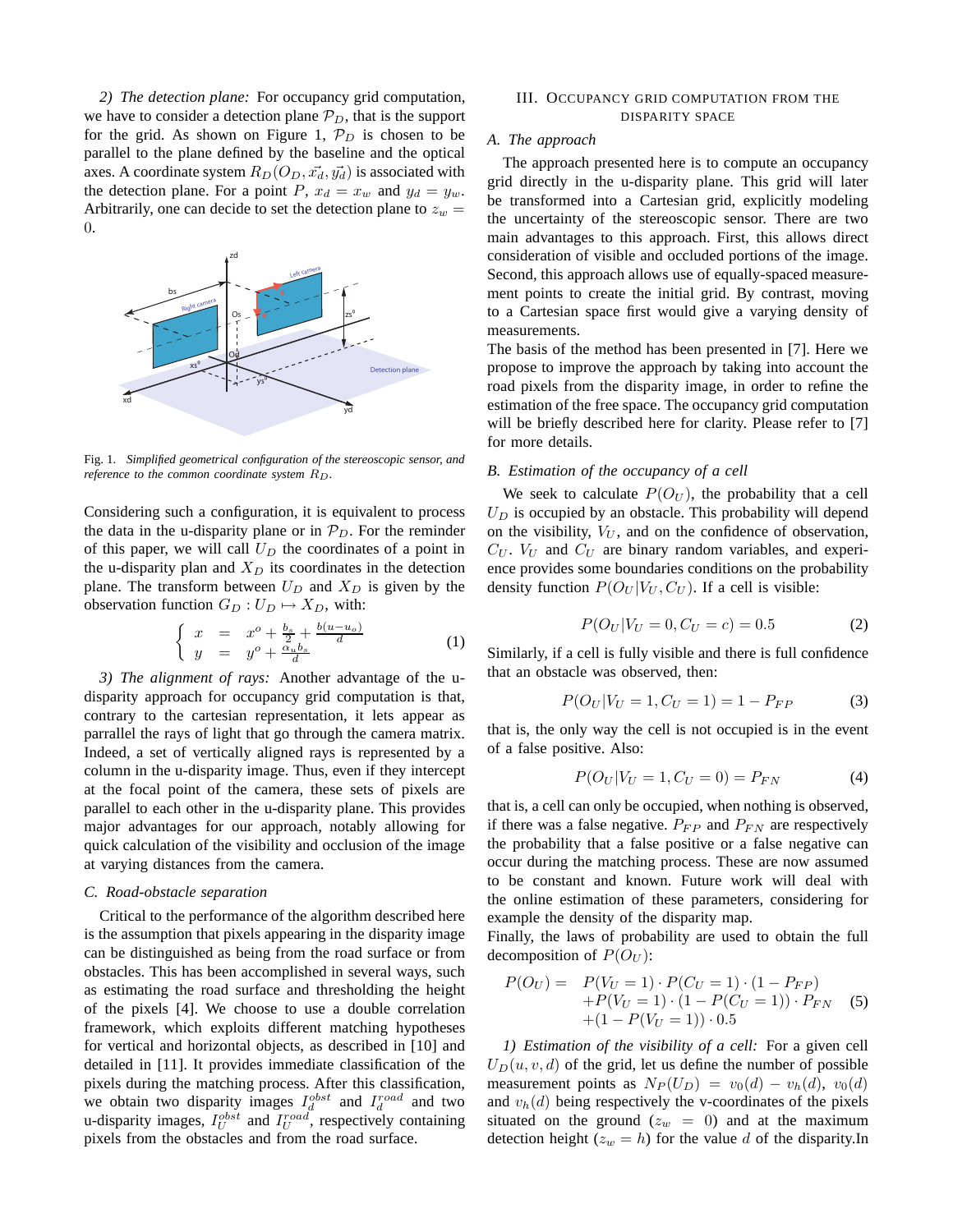*2) The detection plane:* For occupancy grid computation, we have to consider a detection plane  $\mathcal{P}_D$ , that is the support for the grid. As shown on Figure 1,  $\mathcal{P}_D$  is chosen to be parallel to the plane defined by the baseline and the optical axes. A coordinate system  $R_D(O_D, x_d, y_d)$  is associated with the detection plane. For a point P,  $x_d = x_w$  and  $y_d = y_w$ . Arbitrarily, one can decide to set the detection plane to  $z_w =$ 0.



Fig. 1. *Simplified geometrical configuration of the stereoscopic sensor, and reference to the common coordinate system*  $R_D$ .

Considering such a configuration, it is equivalent to process the data in the u-disparity plane or in  $\mathcal{P}_D$ . For the reminder of this paper, we will call  $U_D$  the coordinates of a point in the u-disparity plan and  $X_D$  its coordinates in the detection plane. The transform between  $U_D$  and  $X_D$  is given by the observation function  $G_D : U_D \mapsto X_D$ , with:

$$
\begin{cases}\n x = x^o + \frac{b_s}{2} + \frac{b(u - u_o)}{d} \\
 y = y^o + \frac{\alpha_u b_s}{d}\n\end{cases}
$$
\n(1)

*3) The alignment of rays:* Another advantage of the udisparity approach for occupancy grid computation is that, contrary to the cartesian representation, it lets appear as parrallel the rays of light that go through the camera matrix. Indeed, a set of vertically aligned rays is represented by a column in the u-disparity image. Thus, even if they intercept at the focal point of the camera, these sets of pixels are parallel to each other in the u-disparity plane. This provides major advantages for our approach, notably allowing for quick calculation of the visibility and occlusion of the image at varying distances from the camera.

# *C. Road-obstacle separation*

Critical to the performance of the algorithm described here is the assumption that pixels appearing in the disparity image can be distinguished as being from the road surface or from obstacles. This has been accomplished in several ways, such as estimating the road surface and thresholding the height of the pixels [4]. We choose to use a double correlation framework, which exploits different matching hypotheses for vertical and horizontal objects, as described in [10] and detailed in [11]. It provides immediate classification of the pixels during the matching process. After this classification, we obtain two disparity images  $I_d^{obst}$  and  $I_d^{road}$  and two u-disparity images,  $I_U^{obst}$  and  $I_U^{road}$ , respectively containing pixels from the obstacles and from the road surface.

## III. OCCUPANCY GRID COMPUTATION FROM THE DISPARITY SPACE

# *A. The approach*

The approach presented here is to compute an occupancy grid directly in the u-disparity plane. This grid will later be transformed into a Cartesian grid, explicitly modeling the uncertainty of the stereoscopic sensor. There are two main advantages to this approach. First, this allows direct consideration of visible and occluded portions of the image. Second, this approach allows use of equally-spaced measurement points to create the initial grid. By contrast, moving to a Cartesian space first would give a varying density of measurements.

The basis of the method has been presented in [7]. Here we propose to improve the approach by taking into account the road pixels from the disparity image, in order to refine the estimation of the free space. The occupancy grid computation will be briefly described here for clarity. Please refer to [7] for more details.

# *B. Estimation of the occupancy of a cell*

We seek to calculate  $P(O_U)$ , the probability that a cell  $U_D$  is occupied by an obstacle. This probability will depend on the visibility,  $V_U$ , and on the confidence of observation,  $C_U$ .  $V_U$  and  $C_U$  are binary random variables, and experience provides some boundaries conditions on the probability density function  $P(O_U | V_U, C_U)$ . If a cell is visible:

$$
P(O_U|V_U = 0, C_U = c) = 0.5
$$
 (2)

Similarly, if a cell is fully visible and there is full confidence that an obstacle was observed, then:

$$
P(O_U | V_U = 1, C_U = 1) = 1 - P_{FP}
$$
\n(3)

that is, the only way the cell is not occupied is in the event of a false positive. Also:

$$
P(O_U | V_U = 1, C_U = 0) = P_{FN}
$$
 (4)

that is, a cell can only be occupied, when nothing is observed, if there was a false negative.  $P_{FP}$  and  $P_{FN}$  are respectively the probability that a false positive or a false negative can occur during the matching process. These are now assumed to be constant and known. Future work will deal with the online estimation of these parameters, considering for example the density of the disparity map.

Finally, the laws of probability are used to obtain the full decomposition of  $P(O_U)$ :

$$
P(O_U) = P(V_U = 1) \cdot P(C_U = 1) \cdot (1 - P_{FP})
$$
  
+
$$
P(V_U = 1) \cdot (1 - P(C_U = 1)) \cdot P_{FN}
$$
 (5)  
+
$$
(1 - P(V_U = 1)) \cdot 0.5
$$

*1) Estimation of the visibility of a cell:* For a given cell  $U_D(u, v, d)$  of the grid, let us define the number of possible measurement points as  $N_P(U_D) = v_0(d) - v_h(d)$ ,  $v_0(d)$ and  $v_h(d)$  being respectively the v-coordinates of the pixels situated on the ground ( $z_w = 0$ ) and at the maximum detection height ( $z_w = h$ ) for the value d of the disparity.In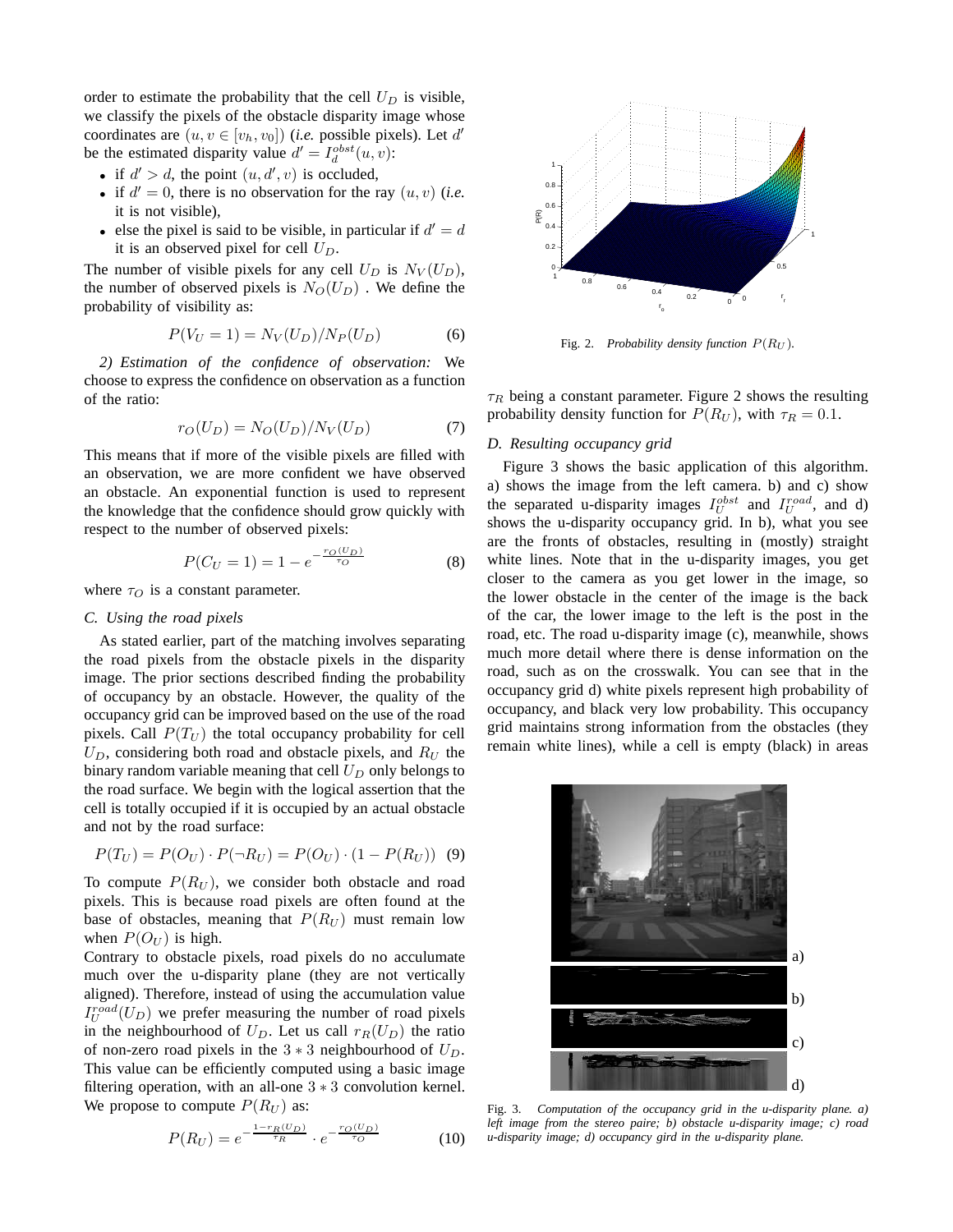order to estimate the probability that the cell  $U_D$  is visible, we classify the pixels of the obstacle disparity image whose coordinates are  $(u, v \in [v_h, v_0])$  (*i.e.* possible pixels). Let d' be the estimated disparity value  $d' = I_d^{obst}(u, v)$ :

- if  $d' > d$ , the point  $(u, d', v)$  is occluded,
- if  $d' = 0$ , there is no observation for the ray  $(u, v)$  (*i.e.*) it is not visible),
- else the pixel is said to be visible, in particular if  $d' = d$ it is an observed pixel for cell  $U_D$ .

The number of visible pixels for any cell  $U_D$  is  $N_V(U_D)$ , the number of observed pixels is  $N_O(U_D)$ . We define the probability of visibility as:

$$
P(V_U = 1) = N_V(U_D)/N_P(U_D)
$$
 (6)

*2) Estimation of the confidence of observation:* We choose to express the confidence on observation as a function of the ratio:

$$
r_O(U_D) = N_O(U_D)/N_V(U_D) \tag{7}
$$

This means that if more of the visible pixels are filled with an observation, we are more confident we have observed an obstacle. An exponential function is used to represent the knowledge that the confidence should grow quickly with respect to the number of observed pixels:

$$
P(C_U = 1) = 1 - e^{-\frac{r_O(U_D)}{r_O}} \tag{8}
$$

where  $\tau_O$  is a constant parameter.

# *C. Using the road pixels*

As stated earlier, part of the matching involves separating the road pixels from the obstacle pixels in the disparity image. The prior sections described finding the probability of occupancy by an obstacle. However, the quality of the occupancy grid can be improved based on the use of the road pixels. Call  $P(T_U)$  the total occupancy probability for cell  $U_D$ , considering both road and obstacle pixels, and  $R_U$  the binary random variable meaning that cell  $U_D$  only belongs to the road surface. We begin with the logical assertion that the cell is totally occupied if it is occupied by an actual obstacle and not by the road surface:

$$
P(T_U) = P(O_U) \cdot P(\neg R_U) = P(O_U) \cdot (1 - P(R_U)) \tag{9}
$$

To compute  $P(R_U)$ , we consider both obstacle and road pixels. This is because road pixels are often found at the base of obstacles, meaning that  $P(R_U)$  must remain low when  $P(O_U)$  is high.

Contrary to obstacle pixels, road pixels do no acculumate much over the u-disparity plane (they are not vertically aligned). Therefore, instead of using the accumulation value  $I_U^{road}(U_D)$  we prefer measuring the number of road pixels in the neighbourhood of  $U_D$ . Let us call  $r_R(U_D)$  the ratio of non-zero road pixels in the  $3 * 3$  neighbourhood of  $U_D$ . This value can be efficiently computed using a basic image filtering operation, with an all-one  $3 \times 3$  convolution kernel. We propose to compute  $P(R_U)$  as:

$$
P(R_U) = e^{-\frac{1 - r_R(U_D)}{\tau_R}} \cdot e^{-\frac{r_O(U_D)}{\tau_O}}
$$
(10)



Fig. 2. *Probability density function*  $P(R_U)$ *.* 

 $\tau_R$  being a constant parameter. Figure 2 shows the resulting probability density function for  $P(R_U)$ , with  $\tau_R = 0.1$ .

# *D. Resulting occupancy grid*

Figure 3 shows the basic application of this algorithm. a) shows the image from the left camera. b) and c) show the separated u-disparity images  $I_U^{obst}$  and  $I_U^{road}$ , and d) shows the u-disparity occupancy grid. In b), what you see are the fronts of obstacles, resulting in (mostly) straight white lines. Note that in the u-disparity images, you get closer to the camera as you get lower in the image, so the lower obstacle in the center of the image is the back of the car, the lower image to the left is the post in the road, etc. The road u-disparity image (c), meanwhile, shows much more detail where there is dense information on the road, such as on the crosswalk. You can see that in the occupancy grid d) white pixels represent high probability of occupancy, and black very low probability. This occupancy grid maintains strong information from the obstacles (they remain white lines), while a cell is empty (black) in areas



Fig. 3. *Computation of the occupancy grid in the u-disparity plane. a) left image from the stereo paire; b) obstacle u-disparity image; c) road u-disparity image; d) occupancy gird in the u-disparity plane.*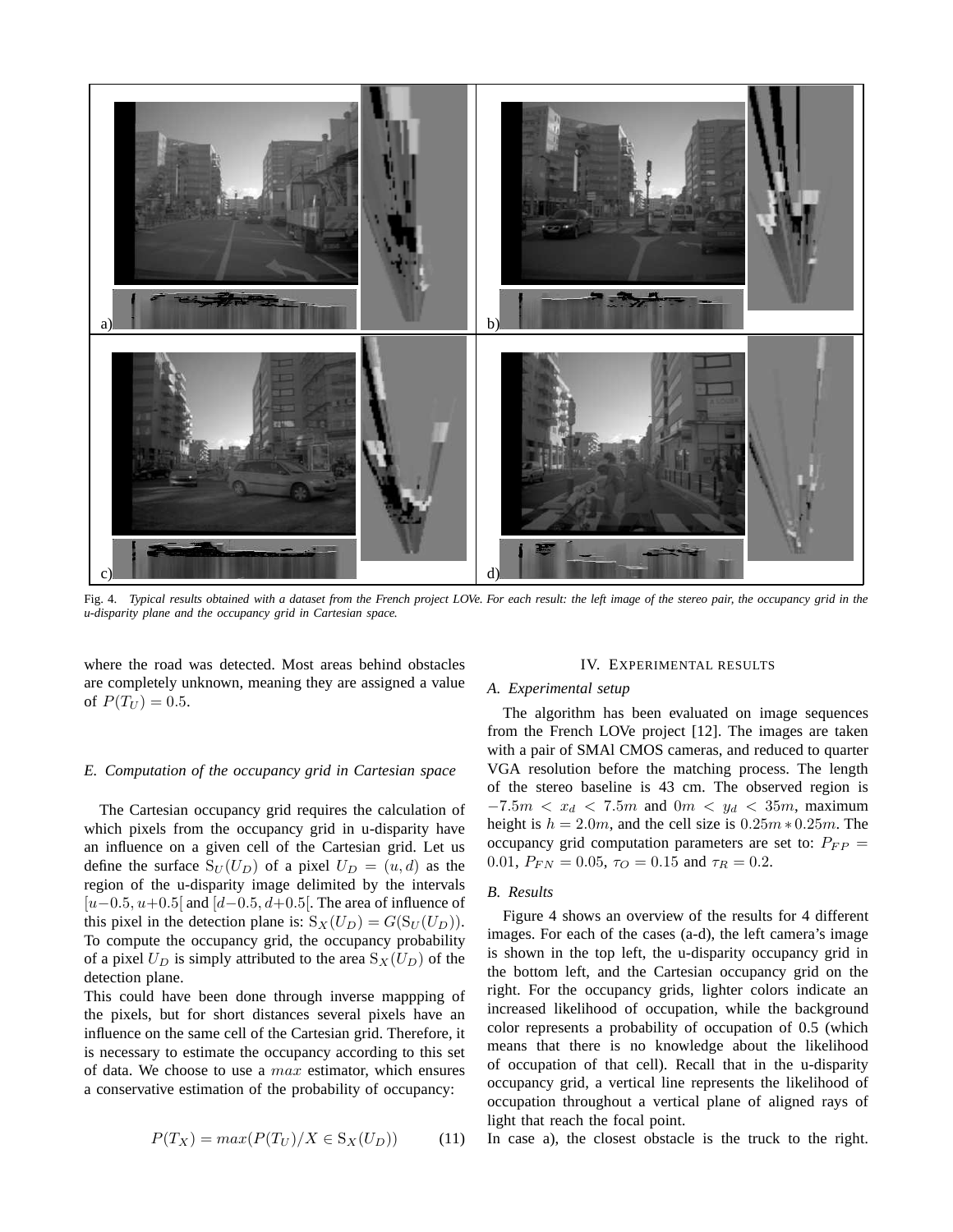

Fig. 4. *Typical results obtained with a dataset from the French project LOVe. For each result: the left image of the stereo pair, the occupancy grid in the u-disparity plane and the occupancy grid in Cartesian space.*

where the road was detected. Most areas behind obstacles are completely unknown, meaning they are assigned a value of  $P(T_U) = 0.5$ .

#### *E. Computation of the occupancy grid in Cartesian space*

The Cartesian occupancy grid requires the calculation of which pixels from the occupancy grid in u-disparity have an influence on a given cell of the Cartesian grid. Let us define the surface  $S_U(U_D)$  of a pixel  $U_D = (u, d)$  as the region of the u-disparity image delimited by the intervals  $[u-0.5, u+0.5]$  and  $[d-0.5, d+0.5]$ . The area of influence of this pixel in the detection plane is:  $S_X(U_D) = G(S_U(U_D)).$ To compute the occupancy grid, the occupancy probability of a pixel  $U_D$  is simply attributed to the area  $S_X(U_D)$  of the detection plane.

This could have been done through inverse mappping of the pixels, but for short distances several pixels have an influence on the same cell of the Cartesian grid. Therefore, it is necessary to estimate the occupancy according to this set of data. We choose to use a max estimator, which ensures a conservative estimation of the probability of occupancy:

$$
P(T_X) = max(P(T_U)/X \in S_X(U_D))
$$
 (11)

## IV. EXPERIMENTAL RESULTS

## *A. Experimental setup*

The algorithm has been evaluated on image sequences from the French LOVe project [12]. The images are taken with a pair of SMAl CMOS cameras, and reduced to quarter VGA resolution before the matching process. The length of the stereo baseline is 43 cm. The observed region is  $-7.5m < x_d < 7.5m$  and  $0m < y_d < 35m$ , maximum height is  $h = 2.0m$ , and the cell size is  $0.25m * 0.25m$ . The occupancy grid computation parameters are set to:  $P_{FP}$  = 0.01,  $P_{FN} = 0.05$ ,  $\tau_O = 0.15$  and  $\tau_R = 0.2$ .

## *B. Results*

Figure 4 shows an overview of the results for 4 different images. For each of the cases (a-d), the left camera's image is shown in the top left, the u-disparity occupancy grid in the bottom left, and the Cartesian occupancy grid on the right. For the occupancy grids, lighter colors indicate an increased likelihood of occupation, while the background color represents a probability of occupation of 0.5 (which means that there is no knowledge about the likelihood of occupation of that cell). Recall that in the u-disparity occupancy grid, a vertical line represents the likelihood of occupation throughout a vertical plane of aligned rays of light that reach the focal point.

In case a), the closest obstacle is the truck to the right.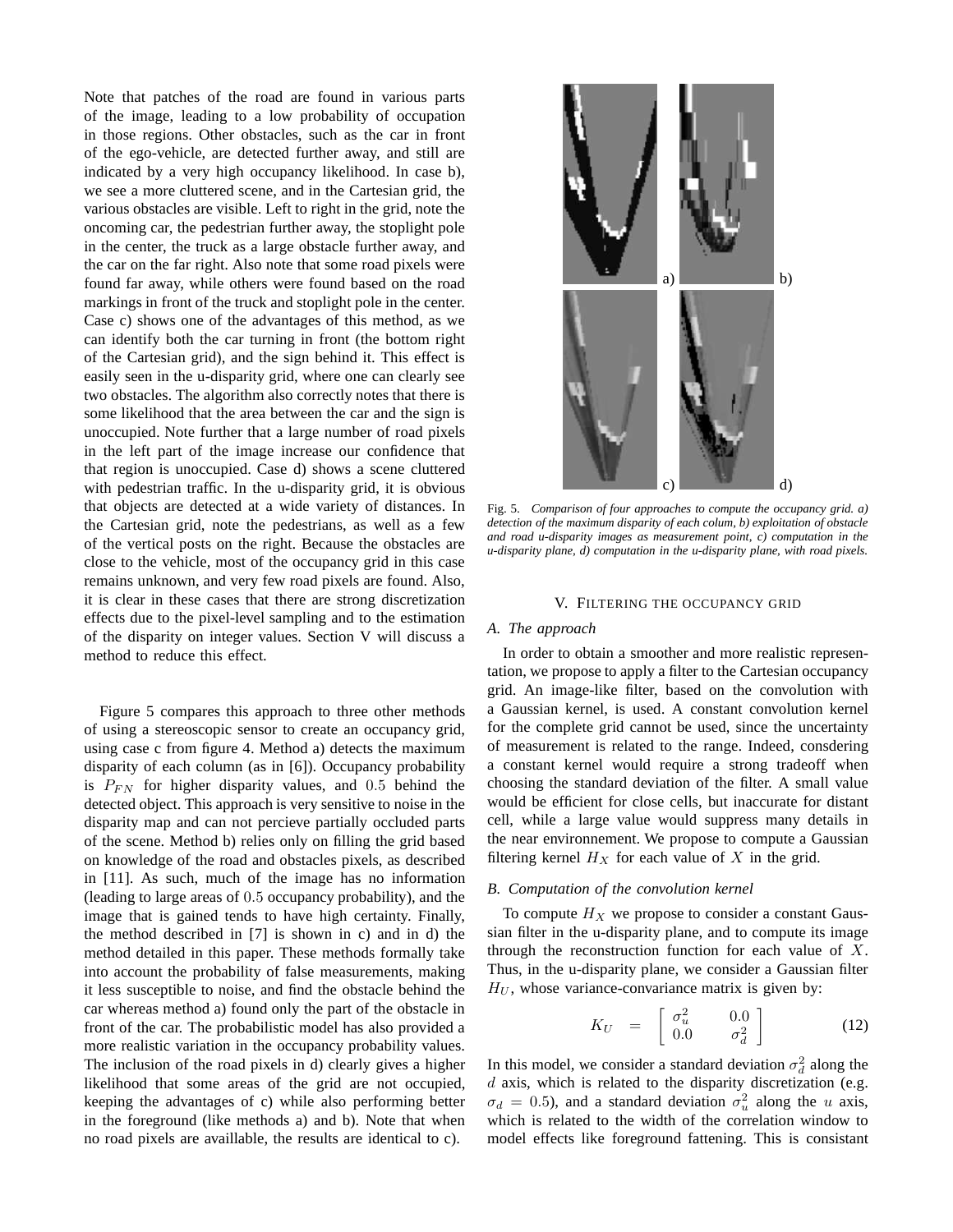Note that patches of the road are found in various parts of the image, leading to a low probability of occupation in those regions. Other obstacles, such as the car in front of the ego-vehicle, are detected further away, and still are indicated by a very high occupancy likelihood. In case b), we see a more cluttered scene, and in the Cartesian grid, the various obstacles are visible. Left to right in the grid, note the oncoming car, the pedestrian further away, the stoplight pole in the center, the truck as a large obstacle further away, and the car on the far right. Also note that some road pixels were found far away, while others were found based on the road markings in front of the truck and stoplight pole in the center. Case c) shows one of the advantages of this method, as we can identify both the car turning in front (the bottom right of the Cartesian grid), and the sign behind it. This effect is easily seen in the u-disparity grid, where one can clearly see two obstacles. The algorithm also correctly notes that there is some likelihood that the area between the car and the sign is unoccupied. Note further that a large number of road pixels in the left part of the image increase our confidence that that region is unoccupied. Case d) shows a scene cluttered with pedestrian traffic. In the u-disparity grid, it is obvious that objects are detected at a wide variety of distances. In the Cartesian grid, note the pedestrians, as well as a few of the vertical posts on the right. Because the obstacles are close to the vehicle, most of the occupancy grid in this case remains unknown, and very few road pixels are found. Also, it is clear in these cases that there are strong discretization effects due to the pixel-level sampling and to the estimation of the disparity on integer values. Section V will discuss a method to reduce this effect.

Figure 5 compares this approach to three other methods of using a stereoscopic sensor to create an occupancy grid, using case c from figure 4. Method a) detects the maximum disparity of each column (as in [6]). Occupancy probability is  $P_{FN}$  for higher disparity values, and 0.5 behind the detected object. This approach is very sensitive to noise in the disparity map and can not percieve partially occluded parts of the scene. Method b) relies only on filling the grid based on knowledge of the road and obstacles pixels, as described in [11]. As such, much of the image has no information (leading to large areas of 0.5 occupancy probability), and the image that is gained tends to have high certainty. Finally, the method described in [7] is shown in c) and in d) the method detailed in this paper. These methods formally take into account the probability of false measurements, making it less susceptible to noise, and find the obstacle behind the car whereas method a) found only the part of the obstacle in front of the car. The probabilistic model has also provided a more realistic variation in the occupancy probability values. The inclusion of the road pixels in d) clearly gives a higher likelihood that some areas of the grid are not occupied, keeping the advantages of c) while also performing better in the foreground (like methods a) and b). Note that when no road pixels are availlable, the results are identical to c).



Fig. 5. *Comparison of four approaches to compute the occupancy grid. a) detection of the maximum disparity of each colum, b) exploitation of obstacle and road u-disparity images as measurement point, c) computation in the u-disparity plane, d) computation in the u-disparity plane, with road pixels.*

#### V. FILTERING THE OCCUPANCY GRID

## *A. The approach*

In order to obtain a smoother and more realistic representation, we propose to apply a filter to the Cartesian occupancy grid. An image-like filter, based on the convolution with a Gaussian kernel, is used. A constant convolution kernel for the complete grid cannot be used, since the uncertainty of measurement is related to the range. Indeed, consdering a constant kernel would require a strong tradeoff when choosing the standard deviation of the filter. A small value would be efficient for close cells, but inaccurate for distant cell, while a large value would suppress many details in the near environnement. We propose to compute a Gaussian filtering kernel  $H_X$  for each value of X in the grid.

## *B. Computation of the convolution kernel*

To compute  $H_X$  we propose to consider a constant Gaussian filter in the u-disparity plane, and to compute its image through the reconstruction function for each value of  $X$ . Thus, in the u-disparity plane, we consider a Gaussian filter  $H_U$ , whose variance-convariance matrix is given by:

$$
K_U = \begin{bmatrix} \sigma_u^2 & 0.0\\ 0.0 & \sigma_d^2 \end{bmatrix}
$$
 (12)

In this model, we consider a standard deviation  $\sigma_d^2$  along the  $d$  axis, which is related to the disparity discretization (e.g.  $\sigma_d = 0.5$ ), and a standard deviation  $\sigma_u^2$  along the u axis, which is related to the width of the correlation window to model effects like foreground fattening. This is consistant